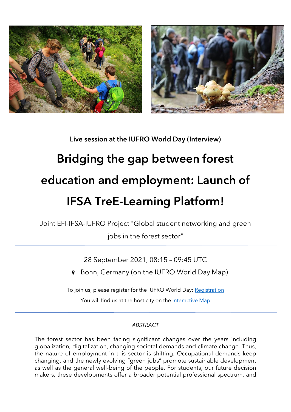

Live session at the IUFRO World Day (Interview)

# Bridging the gap between forest education and employment: Launch of IFSA TreE-Learning Platform!

Joint EFI-IFSA-IUFRO Project "Global student networking and green jobs in the forest sector"

28 September 2021, 08:15 – 09:45 UTC

Bonn, Germany (on the IUFRO World Day Map)  $\mathbf{Q}$ 

To join us, please register for the IUFRO World Day: [Registration](https://www.iufroworldday.org/participation)

You will find us at the host city on the [Interactive Map](https://www.iufroworldday.org/interactive-map)

# *ABSTRACT*

The forest sector has been facing significant changes over the years including globalization, digitalization, changing societal demands and climate change. Thus, the nature of employment in this sector is shifting. Occupational demands keep changing, and the newly evolving "green jobs" promote sustainable development as well as the general well-being of the people. For students, our future decision makers, these developments offer a broader potential professional spectrum, and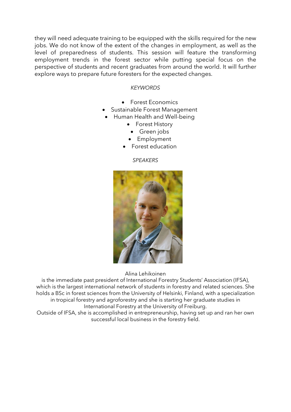they will need adequate training to be equipped with the skills required for the new jobs. We do not know of the extent of the changes in employment, as well as the level of preparedness of students. This session will feature the transforming employment trends in the forest sector while putting special focus on the perspective of students and recent graduates from around the world. It will further explore ways to prepare future foresters for the expected changes.

## *KEYWORDS*

- Forest Economics
- Sustainable Forest Management
	- Human Health and Well-being
		- Forest History
			- Green jobs
		- Employment
		- Forest education

### *SPEAKERS*



Alina Lehikoinen

is the immediate past president of International Forestry Students' Association (IFSA), which is the largest international network of students in forestry and related sciences. She holds a BSc in forest sciences from the University of Helsinki, Finland, with a specialization in tropical forestry and agroforestry and she is starting her graduate studies in International Forestry at the University of Freiburg.

Outside of IFSA, she is accomplished in entrepreneurship, having set up and ran her own successful local business in the forestry field.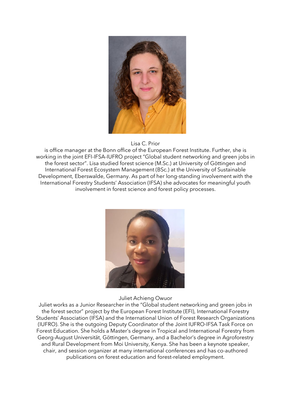

Lisa C. Prior

is office manager at the Bonn office of the European Forest Institute. Further, she is working in the joint EFI-IFSA-IUFRO project "Global student networking and green jobs in the forest sector". Lisa studied forest science (M.Sc.) at University of Göttingen and International Forest Ecosystem Management (BSc.) at the University of Sustainable Development, Eberswalde, Germany. As part of her long-standing involvement with the International Forestry Students' Association (IFSA) she advocates for meaningful youth involvement in forest science and forest policy processes.



#### Juliet Achieng Owuor

Juliet works as a Junior Researcher in the "Global student networking and green jobs in the forest sector" project by the European Forest Institute (EFI), International Forestry Students' Association (IFSA) and the International Union of Forest Research Organizations (IUFRO). She is the outgoing Deputy Coordinator of the Joint IUFRO-IFSA Task Force on Forest Education. She holds a Master's degree in Tropical and International Forestry from Georg-August Universität, Göttingen, Germany, and a Bachelor's degree in Agroforestry and Rural Development from Moi University, Kenya. She has been a keynote speaker, chair, and session organizer at many international conferences and has co-authored publications on forest education and forest-related employment.